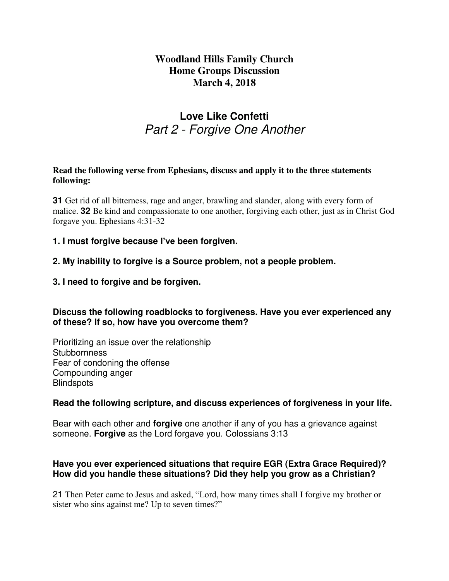## **Woodland Hills Family Church Home Groups Discussion March 4, 2018**

# **Love Like Confetti** Part 2 - Forgive One Another

#### **Read the following verse from Ephesians, discuss and apply it to the three statements following:**

**31** Get rid of all bitterness, rage and anger, brawling and slander, along with every form of malice. **32** Be kind and compassionate to one another, forgiving each other, just as in Christ God forgave you. Ephesians 4:31-32

### **1. I must forgive because I've been forgiven.**

### **2. My inability to forgive is a Source problem, not a people problem.**

### **3. I need to forgive and be forgiven.**

### **Discuss the following roadblocks to forgiveness. Have you ever experienced any of these? If so, how have you overcome them?**

Prioritizing an issue over the relationship **Stubbornness** Fear of condoning the offense Compounding anger **Blindspots** 

#### **Read the following scripture, and discuss experiences of forgiveness in your life.**

Bear with each other and **forgive** one another if any of you has a grievance against someone. **Forgive** as the Lord forgave you. Colossians 3:13

### **Have you ever experienced situations that require EGR (Extra Grace Required)? How did you handle these situations? Did they help you grow as a Christian?**

21 Then Peter came to Jesus and asked, "Lord, how many times shall I forgive my brother or sister who sins against me? Up to seven times?"